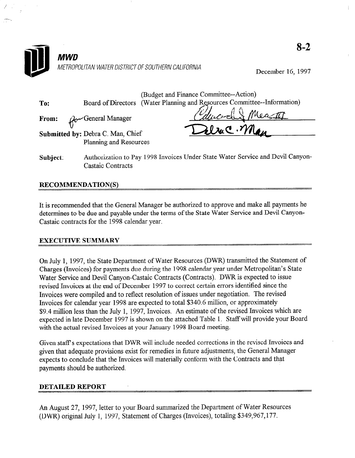

December 16, 1997

|     |                                                             | (Budget and Finance Committee--Action)                                   |
|-----|-------------------------------------------------------------|--------------------------------------------------------------------------|
| To: |                                                             | Board of Directors (Water Planning and Resources Committee--Information) |
|     | From: $\mathcal{A}$ General Manager                         | Chucoch Meast                                                            |
|     |                                                             | Deluc. Man                                                               |
|     | Submitted by: Debra C. Man, Chief<br>Planning and Resources |                                                                          |
|     |                                                             |                                                                          |

Subject: Authorization to Pay 1998 Invoices Under State Water Service and Devil Canyon-Castaic Contracts

## RECOMMENDATION(S)

It is recommended that the General Manager be authorized to approve and make all payments he determines to be due and payable under the terms of the State Water Service and Devil Canyon-Castaic contracts for the 1998 calendar year.

### EXECUTIVE SUMMARY

On July 1, 1997, the State Department of Water Resources (DWR) transmitted the Statement of Charges (Invoices) for payments due during the 1998 calendar year under Metropolitan's State Water Service and Devil Canyon-Castaic Contracts (Contracts). DWR is expected to issue revised Invoices at the end of December 1997 to correct certain errors identified since the Invoices were compiled and to reflect resolution of issues under negotiation. The revised Invoices for calendar year 1998 are expected to total \$340.6 million, or approximately \$9.4 million less than the July 1, 1997, Invoices. An estimate of the revised Invoices which are expected in late December 1997 is shown on the attached Table 1. Staff will provide your Board with the actual revised Invoices at your January 1998 Board meeting.

Given staff's expectations that DWR will include needed corrections in the revised Invoices and given that adequate provisions exist for remedies in future adjustments, the General Manager expects to conclude that the Invoices will materially conform with the Contracts and that payments should be authorized.

### DETAILED REPORT

An August 27, 1997, letter to your Board summarized the Department of Water Resources (DWR) original July 1, 1997, Statement of Charges (Invoices), totaling \$349,967,177.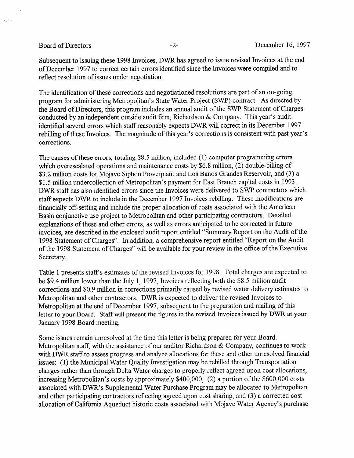$\sqrt{s}$ 

Subsequent to issuing these 1998 Invoices, DWR has agreed to issue revised Invoices at the end of December 1997 to correct certain errors identified since the Invoices were compiled and to reflect resolution of issues under negotiation.

The identification of these corrections and negotiationed resolutions are part of an on-going program for administering Metropolitan's State Water Project (SWP) contract. As directed by the Board of Directors, this program includes an annual audit of the SWP Statement of Charges conducted by an independent outside audit firm, Richardson & Company. This year's audit identified several errors which staff reasonably expects DWR will correct in its December 1997 rebilling of these Invoices. The magnitude of this year's corrections is consistent with past year's corrections.

The causes of these errors, totaling \$8.5 million, included (1) computer programming errors which overescalated operations and maintenance costs by \$6.8 million, (2) double-billing of \$3.2 million costs for Mojave Siphon Powerplant and Los Banos Grandes Reservoir, and (3) a \$1.5 million undercollection of Metropolitan's payment for East Branch capital costs in 1993. DWR staff has also identified errors since the Invoices were delivered to SWP contractors which staff expects DWR to include in the December 1997 Invoices rebilling. These modifications are financially off-setting and include the proper allocation of costs associated with the American Basin conjunctive use project to Metropolitan and other participating contractors. Detailed explanations of these and other errors, as well as errors anticipated to be corrected in future invoices, are described in the enclosed audit report entitled "Summary Report on the Audit of the 1998 Statement of Charges". In addition, a comprehensive report entitled "Report on the Audit of the 1998 Statement of Charges" will be available for your review in the office of the Executive Secretary.

Table 1 presents staff's estimates of the revised Invoices for 1998. Total charges are expected to be \$9.4 million lower than the July 1, 1997, Invoices reflecting both the \$8.5 million audit corrections and \$0.9 million in corrections primarily caused by revised water delivery estimates to Metropolitan and other contractors. DWR is expected to deliver the revised Invoices to Metropolitan at the end of December 1997, subsequent to the preparation and mailing of this letter to your Board. Staff will present the figures in the revised Invoices issued by DWR at your January 1998 Board meeting.

Some issues remain unresolved at the time this letter is being prepared for your Board. Metropolitan staff, with the assistance of our auditor Richardson & Company, continues to work with DWR staff to assess progress and analyze allocations for these and other unresolved financial issues: (1) the Municipal Water Quality Investigation may be rebilled through Transportation charges rather than through Delta Water charges to properly reflect agreed upon cost allocations, increasing Metropolitan's costs by approximately \$400,000, (2) a portion of the \$600,000 costs associated with DWR's Supplemental Water Purchase Program may be allocated to Metropolitan and other participating contractors reflecting agreed upon cost sharing, and (3) a corrected cost allocation of California Aqueduct historic costs associated with Mojave Water Agency's purchase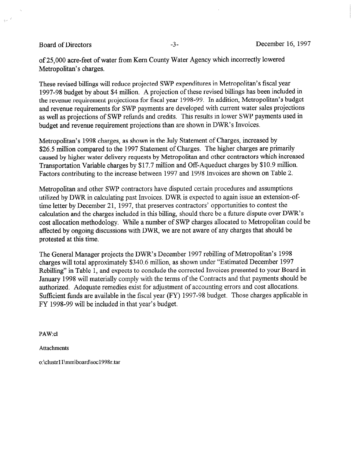$\frac{1}{2}m^{-\frac{1}{2}}$ 

of 25,000 acre-feet of water from Kern County Water Agency which incorrectly lowered Metropolitan's charges.

These revised billings will reduce projected SWP expenditures in Metropolitan's fiscal year 1997-98 budget by about \$4 million. A projection of these revised billings has been included in the revenue requirement projections for fiscal year 1998-99. In addition, Metropolitan's budget and revenue requirements for SWP payments are developed with current water sales projections as well as projections of SWP refunds and credits. This results in lower SWP payments used in budget and revenue requirement projections than are shown in DWR's Invoices.

Metropolitan's 1998 charges, as shown in the July Statement of Charges, increased by \$26.5 million compared to the 1997 Statement of Charges. The higher charges are primarily caused by higher water delivery requests by Metropolitan and other contractors which increased Transportation Variable charges by \$17.7 million and Off-Aqueduct charges by \$10.9 million. Factors contributing to the increase between 1997 and 1998 Invoices are shown on Table 2.

Metropolitan and other SWP contractors have disputed certain procedures and assumptions utilized by DWR in calculating past Invoices. DWR is expected to again issue an extension-oftime letter by December 21, 1997, that preserves contractors' opportunities to contest the calculation and the charges included in this billing, should there be a future dispute over DWR's cost allocation methodology. While a number of SWP charges allocated to Metropolitan could be affected by ongoing discussions with DWR, we are not aware of any charges that should be protested at this time.

The General Manager projects the DWR's December 1997 rebilling of Metropolitan's 1998 charges will total approximately \$340.6 million, as shown under "Estimated December 1997 Rebilling" in Table 1, and expects to conclude the corrected Invoices presented to your Board in January 1998 will materially comply with the terms of the Contracts and that payments should be authorized. Adequate remedies exist for adjustment of accounting errors and cost allocations. Sufficient funds are available in the fiscal year (FY) 1997-98 budget. Those charges applicable in FY 1998-99 will be included in that year's budget.

PAW:cl

Attachments

o:\clustrllhnm\board\socl998r.tar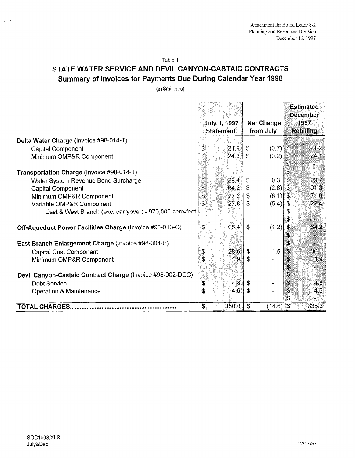Table 1

## STATE WATER SERVICE AND DEVIL CANYON-CASTAIC CONTRACTS Summary of Invoices for Payments Due During Calendar Year 1998

(in \$millions)

|                                                                 |                                  |                  |                                |            | <b>Estimated</b><br>December |       |
|-----------------------------------------------------------------|----------------------------------|------------------|--------------------------------|------------|------------------------------|-------|
|                                                                 | July 1, 1997<br><b>Statement</b> |                  | <b>Net Change</b><br>from July |            | 1997<br>Rebilling            |       |
| Delta Water Charge (Invoice #98-014-T)                          |                                  |                  |                                |            |                              |       |
| <b>Capital Component</b>                                        |                                  | 21.9             | \$                             | $(0.7)$ \$ |                              | 21.2  |
| Minimum OMP&R Component                                         |                                  | 24.3             | $\mathbf{s}$                   | (0.2)      | ÷,<br>\$                     | 24.1  |
| Transportation Charge (Invoice #98-014-T)                       |                                  |                  |                                |            | \$                           |       |
| Water System Revenue Bond Surcharge                             | \$                               | 29.4             | \$                             | 0.3        | \$                           | 29.7  |
| <b>Capital Component</b>                                        | \$                               | 64.2             | \$                             | $(2.8)$ \$ |                              | 61.3  |
| Minimum OMP&R Component                                         | \$                               | 77.2             | \$                             | $(6.1)$ \$ |                              | 71.0  |
| Variable OMP&R Component                                        | Ś.                               | 27.8             | \$                             | (5.4)      | ୍ତୁ                          | 22.4  |
| East & West Branch (exc. carryover) - 970,000 acre-feet         |                                  |                  |                                |            |                              |       |
| <b>Off-Aqueduct Power Facilities Charge (Invoice #98-013-O)</b> |                                  | 65.4             | \$                             | (1.2)      | $\boldsymbol{\theta}$<br>\$  | 64.2  |
| East Branch Enlargement Charge (Invoice #98-004-E)              |                                  |                  |                                |            | S                            | X.    |
| <b>Capital Cost Component</b>                                   |                                  | 28.6             | \$                             | 1.5        | S                            | 30.1  |
| Minimum OMP&R Component                                         |                                  | 1.9 <sup>°</sup> | \$                             |            | S                            | 1.9   |
| Devil Canyon-Castaic Contract Charge (Invoice #98-002-DCC)      |                                  |                  |                                |            | 3                            |       |
| Debt Service                                                    |                                  | 4.8              | \$                             |            | S                            | 4.8   |
| Operation & Maintenance                                         |                                  | 4.6              | \$                             |            | S                            | 4.6   |
| <b>TOTAL CHARGES</b>                                            | $\mathfrak{F}$                   | 350.0            | \$                             | (14.6)     | $\mathfrak{F}$               | 335.3 |

 $\omega_{\rm c}$  ,  $\omega$